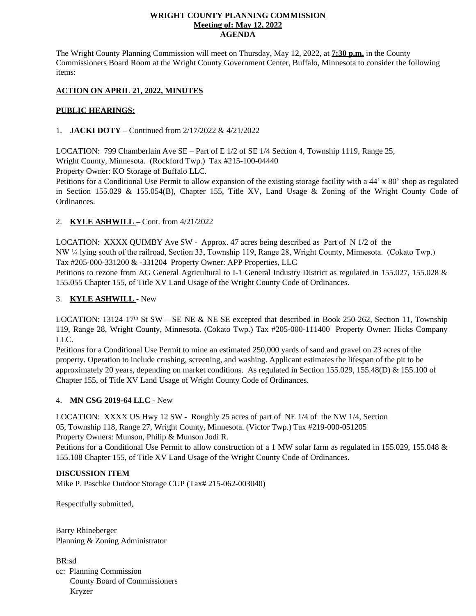#### **WRIGHT COUNTY PLANNING COMMISSION Meeting of: May 12, 2022 AGENDA**

The Wright County Planning Commission will meet on Thursday, May 12, 2022, at **7:30 p.m.** in the County Commissioners Board Room at the Wright County Government Center, Buffalo, Minnesota to consider the following items:

# **ACTION ON APRIL 21, 2022, MINUTES**

#### **PUBLIC HEARINGS:**

# 1. **JACKI DOTY** – Continued from 2/17/2022 & 4/21/2022

LOCATION: 799 Chamberlain Ave SE – Part of E 1/2 of SE 1/4 Section 4, Township 1119, Range 25, Wright County, Minnesota. (Rockford Twp.) Tax #215-100-04440

Property Owner: KO Storage of Buffalo LLC.

Petitions for a Conditional Use Permit to allow expansion of the existing storage facility with a 44' x 80' shop as regulated in Section 155.029 & 155.054(B), Chapter 155, Title XV, Land Usage & Zoning of the Wright County Code of Ordinances.

# 2. **KYLE ASHWILL –** Cont. from 4/21/2022

LOCATION: XXXX QUIMBY Ave SW - Approx. 47 acres being described as Part of N 1/2 of the NW ¼ lying south of the railroad, Section 33, Township 119, Range 28, Wright County, Minnesota. (Cokato Twp.) Tax #205-000-331200 & -331204 Property Owner: APP Properties, LLC

Petitions to rezone from AG General Agricultural to I-1 General Industry District as regulated in 155.027, 155.028 & 155.055 Chapter 155, of Title XV Land Usage of the Wright County Code of Ordinances.

# 3. **KYLE ASHWILL** - New

LOCATION: 13124 17<sup>th</sup> St SW – SE NE & NE SE excepted that described in Book 250-262, Section 11, Township 119, Range 28, Wright County, Minnesota. (Cokato Twp.) Tax #205-000-111400 Property Owner: Hicks Company LLC.

Petitions for a Conditional Use Permit to mine an estimated 250,000 yards of sand and gravel on 23 acres of the property. Operation to include crushing, screening, and washing. Applicant estimates the lifespan of the pit to be approximately 20 years, depending on market conditions. As regulated in Section 155.029, 155.48(D) & 155.100 of Chapter 155, of Title XV Land Usage of Wright County Code of Ordinances.

#### 4. **MN CSG 2019-64 LLC** - New

LOCATION: XXXX US Hwy 12 SW - Roughly 25 acres of part of NE 1/4 of the NW 1/4, Section 05, Township 118, Range 27, Wright County, Minnesota. (Victor Twp.) Tax #219-000-051205 Property Owners: Munson, Philip & Munson Jodi R.

Petitions for a Conditional Use Permit to allow construction of a 1 MW solar farm as regulated in 155.029, 155.048 & 155.108 Chapter 155, of Title XV Land Usage of the Wright County Code of Ordinances.

#### **DISCUSSION ITEM**

Mike P. Paschke Outdoor Storage CUP (Tax# 215-062-003040)

Respectfully submitted,

Barry Rhineberger Planning & Zoning Administrator

BR:sd cc: Planning Commission County Board of Commissioners Kryzer